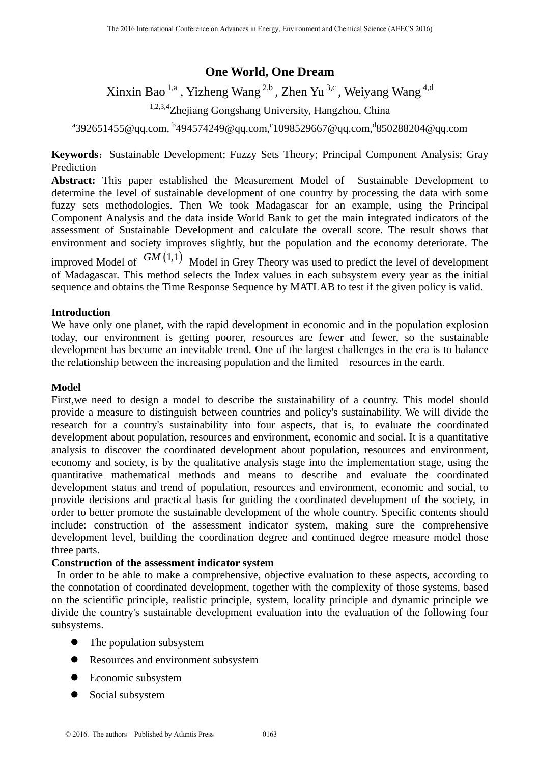# **One World, One Dream**

Xinxin Bao<sup>1,a</sup>, Yizheng Wang<sup>2,b</sup>, Zhen Yu<sup>3,c</sup>, Weiyang Wang<sup>4,d</sup>

1,2,3,4Zhejiang Gongshang University, Hangzhou, China

 $^{a}$ 392651455@qq.com,  $^{b}$ 494574249@qq.com, $^{c}$ 1098529667@qq.com, $^{d}$ 850288204@qq.com

**Keywords:** Sustainable Development; Fuzzy Sets Theory; Principal Component Analysis; Gray Prediction

**Abstract:** This paper established the Measurement Model of Sustainable Development to determine the level of sustainable development of one country by processing the data with some fuzzy sets methodologies. Then We took Madagascar for an example, using the Principal Component Analysis and the data inside World Bank to get the main integrated indicators of the assessment of Sustainable Development and calculate the overall score. The result shows that environment and society improves slightly, but the population and the economy deteriorate. The improved Model of  $GM(1,1)$  Model in Grey Theory was used to predict the level of development of Madagascar. This method selects the Index values in each subsystem every year as the initial

sequence and obtains the Time Response Sequence by MATLAB to test if the given policy is valid.

## **Introduction**

We have only one planet, with the rapid development in economic and in the population explosion today, our environment is getting poorer, resources are fewer and fewer, so the sustainable development has become an inevitable trend. One of the largest challenges in the era is to balance the relationship between the increasing population and the limited resources in the earth.

### **Model**

First,we need to design a model to describe the sustainability of a country. This model should provide a measure to distinguish between countries and policy's sustainability. We will divide the research for a country's sustainability into four aspects, that is, to evaluate the coordinated development about population, resources and environment, economic and social. It is a quantitative analysis to discover the coordinated development about population, resources and environment, economy and society, is by the qualitative analysis stage into the implementation stage, using the quantitative mathematical methods and means to describe and evaluate the coordinated development status and trend of population, resources and environment, economic and social, to provide decisions and practical basis for guiding the coordinated development of the society, in order to better promote the sustainable development of the whole country. Specific contents should include: construction of the assessment indicator system, making sure the comprehensive development level, building the coordination degree and continued degree measure model those three parts.

## **Construction of the assessment indicator system**

 In order to be able to make a comprehensive, objective evaluation to these aspects, according to the connotation of coordinated development, together with the complexity of those systems, based on the scientific principle, realistic principle, system, locality principle and dynamic principle we divide the country's sustainable development evaluation into the evaluation of the following four subsystems.

- The population subsystem
- Resources and environment subsystem
- Economic subsystem
- Social subsystem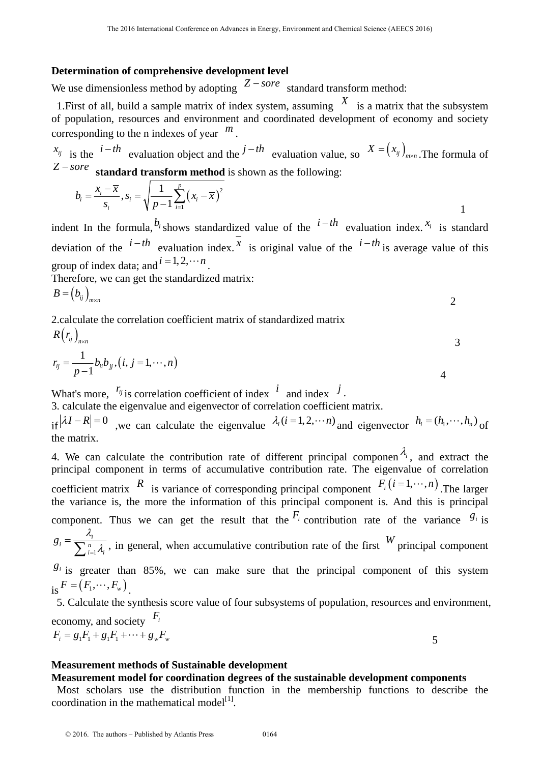### **Determination of comprehensive development level**

We use dimensionless method by adopting  $Z$  – sore standard transform method:

1. First of all, build a sample matrix of index system, assuming  $\overline{X}$  is a matrix that the subsystem of population, resources and environment and coordinated development of economy and society corresponding to the n indexes of year *<sup>m</sup>* .

 $x_{ij}$  is the  $i-th$  evaluation object and the  $j-th$  evaluation value, so  $X = (x_{ij})_{m \times n}$ . The formula of  $Z$  – sore **standard transform method** is shown as the following:

$$
b_i = \frac{x_i - \overline{x}}{s_i}, s_i = \sqrt{\frac{1}{p-1} \sum_{i=1}^p (x_i - \overline{x})^2}
$$

indent In the formula,  $b_i$  shows standardized value of the  $i-th$  evaluation index.  $x_i$  is standard deviation of the  $i-th$  evaluation index.  $\overline{x}$  is original value of the  $i-th$  is average value of this group of index data; and  $i = 1, 2, \cdots n$ .

Therefore, we can get the standardized matrix:

$$
B = (b_{ij})_{m \times n}
$$

2.calculate the correlation coefficient matrix of standardized matrix

$$
R(r_{ij})_{n \times n}
$$

$$
r_{ij} = \frac{1}{p-1} b_{ii} b_{jj}, (i, j = 1, \cdots, n)
$$

What's more,  $r_{ij}$  is correlation coefficient of index  $i$  and index  $j$ .

3. calculate the eigenvalue and eigenvector of correlation coefficient matrix.

if  $|\lambda I - R| = 0$ , we can calculate the eigenvalue  $\lambda_i (i = 1, 2, \cdots n)$  and eigenvector  $h_i = (h_1, \cdots, h_n)$  of the matrix.

4. We can calculate the contribution rate of different principal componen  $\lambda_i$ , and extract the principal component in terms of accumulative contribution rate. The eigenvalue of correlation coefficient matrix  $R$  is variance of corresponding principal component  $F_i(i=1,\dots,n)$ . The larger the variance is, the more the information of this principal component is. And this is principal component. Thus we can get the result that the  $F_i$  contribution rate of the variance  $g_i$  is 1  $\alpha_i = \frac{N_i}{\sum n_i}$  $i=1$ 'i  $g_i = \frac{\lambda_i}{\sum_{i=1}^n \lambda_i}$ , in general, when accumulative contribution rate of the first *W* principal component  $g_i$  is greater than 85%, we can make sure that the principal component of this system

 $\mathbf{r}_i = (F_1, \cdots, F_w)$ 5. Calculate the synthesis score value of four subsystems of population, resources and environment,

economy, and society *Fi*  $F_i = g_1 F_1 + g_1 F_1 + \dots + g_w F_w$  5

**Measurement methods of Sustainable development** 

## **Measurement model for coordination degrees of the sustainable development components**

 Most scholars use the distribution function in the membership functions to describe the coordination in the mathematical model<sup>[1]</sup>.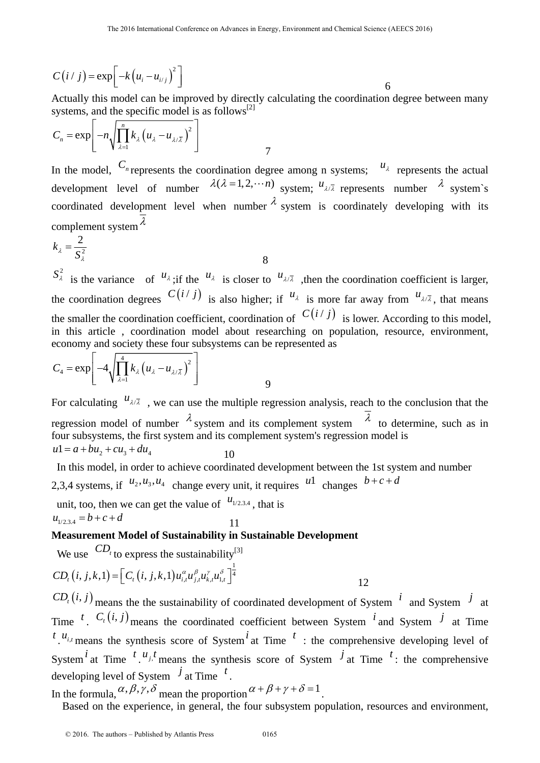$$
C(i / j) = \exp\left[-k\left(u_i - u_{i/j}\right)^2\right]
$$

Actually this model can be improved by directly calculating the coordination degree between many systems, and the specific model is as follows<sup>[2]</sup>

$$
C_n = \exp\left[-n\sqrt{\prod_{\lambda=1}^n k_{\lambda}\left(u_{\lambda} - u_{\lambda/\overline{\lambda}}\right)^2}\right]
$$

In the model,  $C_n$  represents the coordination degree among n systems;  $u_{\lambda}$  represents the actual development level of number  $\lambda(\lambda = 1, 2, \cdots n)$  system;  $u_{\lambda/\overline{\lambda}}$  represents number  $\lambda$  system's coordinated development level when number  $\lambda$  system is coordinately developing with its complement system  $\lambda$ 

$$
k_{\lambda} = \frac{2}{S_{\lambda}^2}
$$

 $S^2_\lambda$  is the variance of  $u_\lambda$ ; if the  $u_\lambda$  is closer to  $u_{\lambda/\lambda}$ , then the coordination coefficient is larger, the coordination degrees  $C(i / j)$  is also higher; if  $u_{\lambda}$  is more far away from  $u_{\lambda/\overline{\lambda}}$ , that means the smaller the coordination coefficient, coordination of  $C(i / j)$  is lower. According to this model, in this article , coordination model about researching on population, resource, environment, economy and society these four subsystems can be represented as

$$
C_4 = \exp\left[-4\sqrt{\prod_{\lambda=1}^4 k_{\lambda} \left(u_{\lambda} - u_{\lambda/\overline{\lambda}}\right)^2}\right]
$$

8 and 2012 and 3 and 3 and 3 and 3 and 3 and 3 and 3 and 3 and 3 and 3 and 3 and 3 and 3 and 3 and 3 and 3 and

For calculating  $u_{\lambda/\overline{\lambda}}$ , we can use the multiple regression analysis, reach to the conclusion that the regression model of number  $\lambda$  system and its complement system  $\overline{\lambda}$  to determine, such as in four subsystems, the first system and its complement system's regression model is  $u1 = a + bu_2 + cu_3 + du_4$  10

 In this model, in order to achieve coordinated development between the 1st system and number 2,3,4 systems, if  $u_2, u_3, u_4$  change every unit, it requires  $u_1$  changes  $b+c+d$ 

unit, too, then we can get the value of  $u_{1/2,3,4}$ , that is  $u_{1/2,3,4} = b + c + d$ 

# **Measurement Model of Sustainability in Sustainable Development**

We use  $CD_t$  to express the sustainability<sup>[3]</sup>

$$
CD_{i}(i, j, k, 1) = \left[ C_{i}(i, j, k, 1) u_{i, t}^{\alpha} u_{j, t}^{\beta} u_{k, t}^{\gamma} u_{1, t}^{\delta} \right]_{4}^{\frac{1}{4}}
$$

 $CD_t(i, j)$  means the the sustainability of coordinated development of System *i* and System *i* at Time <sup>t</sup>.  $C_i(i, j)$  means the coordinated coefficient between System <sup>*i*</sup> and System *<sup>j</sup>* at Time  $t_{i,i}$  means the synthesis score of System<sup>*i*</sup> at Time  $t_i$  the comprehensive developing level of System<sup>*i*</sup> at Time <sup>*t*</sup>  $\cdot u_j t$ </sup> means the synthesis score of System <sup>*j*</sup> at Time <sup>*t*</sup>: the comprehensive developing level of System  $\overrightarrow{J}$  at Time  $\overrightarrow{t}$ .

In the formula,  $\alpha$ ,  $\beta$ ,  $\gamma$ ,  $\delta$  mean the proportion  $\alpha + \beta + \gamma + \delta = 1$ .

Based on the experience, in general, the four subsystem population, resources and environment,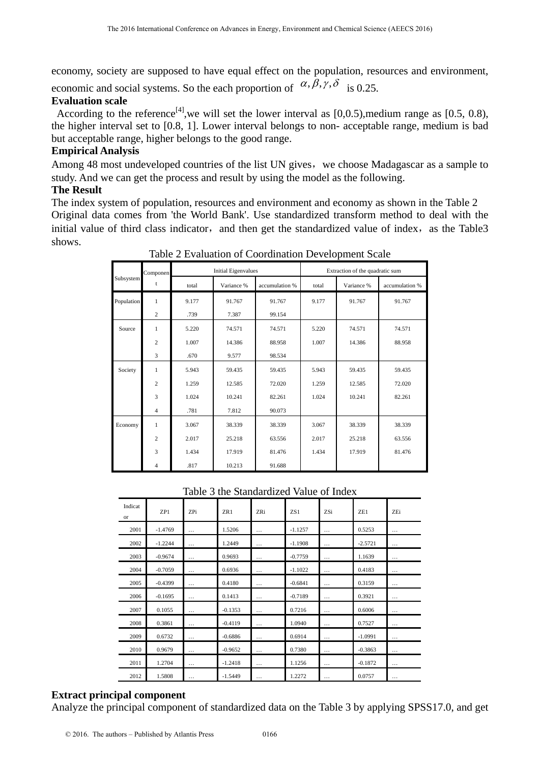economy, society are supposed to have equal effect on the population, resources and environment,

economic and social systems. So the each proportion of  $\alpha$ ,  $\beta$ ,  $\gamma$ ,  $\delta$  is 0.25.

# **Evaluation scale**

According to the reference<sup>[4]</sup>, we will set the lower interval as [0,0.5), medium range as [0.5, 0.8), the higher interval set to [0.8, 1]. Lower interval belongs to non- acceptable range, medium is bad but acceptable range, higher belongs to the good range.

# **Empirical Analysis**

Among 48 most undeveloped countries of the list UN gives, we choose Madagascar as a sample to study. And we can get the process and result by using the model as the following.

# **The Result**

The index system of population, resources and environment and economy as shown in the Table 2 Original data comes from 'the World Bank'. Use standardized transform method to deal with the initial value of third class indicator, and then get the standardized value of index, as the Table3 shows.

|                                 | Componen       | <b>Initial Eigenvalues</b> |            |                | Extraction of the quadratic sum |            |                |  |
|---------------------------------|----------------|----------------------------|------------|----------------|---------------------------------|------------|----------------|--|
| Subsystem                       | t              | total                      | Variance % | accumulation % | total                           | Variance % | accumulation % |  |
| Population                      | $\mathbf{1}$   | 9.177                      | 91.767     | 91.767         | 9.177                           | 91.767     | 91.767         |  |
|                                 | $\overline{c}$ | .739                       | 7.387      | 99.154         |                                 |            |                |  |
| Source                          | 1              | 5.220                      | 74.571     | 74.571         | 5.220                           | 74.571     | 74.571         |  |
|                                 | $\overline{c}$ | 1.007                      | 14.386     | 88.958         | 1.007                           | 14.386     | 88.958         |  |
|                                 | 3              | .670                       | 9.577      | 98.534         |                                 |            |                |  |
| Society                         | $\mathbf{1}$   | 5.943                      | 59.435     | 59.435         | 5.943                           | 59.435     | 59.435         |  |
|                                 | $\overline{c}$ | 1.259                      | 12.585     | 72.020         | 1.259                           | 12.585     | 72.020         |  |
|                                 | 3              | 1.024<br>10.241            |            | 82.261         | 1.024                           | 10.241     | 82.261         |  |
| 7.812<br>$\overline{4}$<br>.781 |                | 90.073                     |            |                |                                 |            |                |  |
| Economy                         | 1              | 3.067                      | 38.339     | 38.339         | 3.067                           | 38.339     | 38.339         |  |
|                                 | $\overline{c}$ | 2.017                      | 25.218     | 63.556         | 2.017                           | 25.218     | 63.556         |  |
|                                 | 3              | 1.434                      | 17.919     | 81.476         | 1.434                           | 17.919     | 81.476         |  |
|                                 | $\overline{4}$ | .817                       | 10.213     | 91.688         |                                 |            |                |  |

Table 2 Evaluation of Coordination Development Scale

Table 3 the Standardized Value of Index

| Indicat<br>or | ZP1       | ZPi      | ZR1       | ZRi      | ZS1       | ZSi      | ZE1       | ZEi      |
|---------------|-----------|----------|-----------|----------|-----------|----------|-----------|----------|
| 2001          | $-1.4769$ | $\cdots$ | 1.5206    | $\cdots$ | $-1.1257$ | $\cdots$ | 0.5253    | $\cdots$ |
| 2002          | $-1.2244$ | $\ldots$ | 1.2449    | $\cdots$ | $-1.1908$ | $\cdots$ | $-2.5721$ | $\cdots$ |
| 2003          | $-0.9674$ | $\cdots$ | 0.9693    | $\ldots$ | $-0.7759$ | $\cdots$ | 1.1639    | $\cdots$ |
| 2004          | $-0.7059$ | $\cdots$ | 0.6936    | $\cdots$ | $-1.1022$ | $\cdots$ | 0.4183    | $\cdots$ |
| 2005          | $-0.4399$ | $\cdots$ | 0.4180    | $\cdots$ | $-0.6841$ | $\cdots$ | 0.3159    | $\cdots$ |
| 2006          | $-0.1695$ | $\ldots$ | 0.1413    | $\ldots$ | $-0.7189$ | $\cdots$ | 0.3921    | $\cdots$ |
| 2007          | 0.1055    | $\cdots$ | $-0.1353$ | $\ldots$ | 0.7216    | $\cdots$ | 0.6006    | $\cdots$ |
| 2008          | 0.3861    | $\cdots$ | $-0.4119$ | $\cdots$ | 1.0940    | $\cdots$ | 0.7527    | $\cdots$ |
| 2009          | 0.6732    | $\cdots$ | $-0.6886$ | $\cdots$ | 0.6914    | $\cdots$ | $-1.0991$ | $\cdots$ |
| 2010          | 0.9679    | $\cdots$ | $-0.9652$ | $\ldots$ | 0.7380    | $\cdots$ | $-0.3863$ | $\cdots$ |
| 2011          | 1.2704    | $\cdots$ | $-1.2418$ | $\cdots$ | 1.1256    | $\cdots$ | $-0.1872$ | $\cdots$ |
| 2012          | 1.5808    | .        | $-1.5449$ | $\cdots$ | 1.2272    | .        | 0.0757    | .        |

# **Extract principal component**

Analyze the principal component of standardized data on the Table 3 by applying SPSS17.0, and get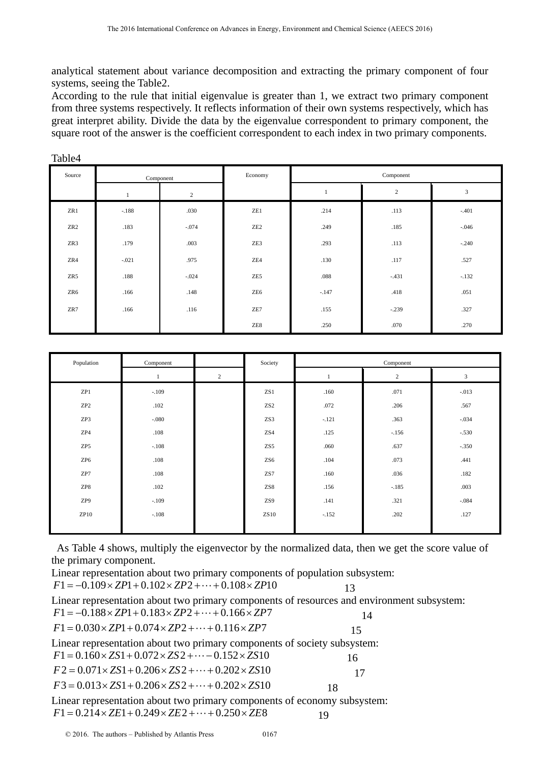analytical statement about variance decomposition and extracting the primary component of four systems, seeing the Table2.

According to the rule that initial eigenvalue is greater than 1, we extract two primary component from three systems respectively. It reflects information of their own systems respectively, which has great interpret ability. Divide the data by the eigenvalue correspondent to primary component, the square root of the answer is the coefficient correspondent to each index in two primary components.

| Source          | Component |                  | Economy         |         | Component  |                |  |
|-----------------|-----------|------------------|-----------------|---------|------------|----------------|--|
|                 |           | $\boldsymbol{2}$ |                 |         | $\sqrt{2}$ | $\mathfrak{Z}$ |  |
| ZR1             | $-.188$   | .030             | ZE1             | .214    | .113       | $-.401$        |  |
| ZR <sub>2</sub> | .183      | $-.074$          | ZE <sub>2</sub> | .249    | .185       | $-.046$        |  |
| ZR3             | .179      | .003             | ZE3             | .293    | .113       | $-.240$        |  |
| ZR4             | $-.021$   | .975             | ZE4             | .130    | .117       | .527           |  |
| ZR5             | .188      | $-.024$          | ZE5             | .088    | $-.431$    | $-.132$        |  |
| ZR6             | .166      | .148             | ZE <sub>6</sub> | $-.147$ | .418       | .051           |  |
| ZR7             | .166      | .116             | ZE7             | .155    | $-.239$    | .327           |  |
|                 |           |                  | ZE8             | .250    | .070       | .270           |  |

| Population      | Component |              | Society         | Component |            |                |
|-----------------|-----------|--------------|-----------------|-----------|------------|----------------|
|                 |           | $\mathbf{2}$ |                 |           | $\sqrt{2}$ | $\overline{3}$ |
| ZP1             | $-.109$   |              | ZS1             | .160      | .071       | $-.013$        |
| ZP <sub>2</sub> | .102      |              | ZS <sub>2</sub> | .072      | .206       | .567           |
| ZP3             | $-.080$   |              | ZS3             | $-.121$   | .363       | $-.034$        |
| ZP4             | .108      |              | ZS4             | .125      | $-.156$    | $-.530$        |
| ZP5             | $-.108$   |              | ZS5             | .060      | .637       | $-.350$        |
| ZP <sub>6</sub> | .108      |              | ZS <sub>6</sub> | .104      | .073       | .441           |
| ZP7             | .108      |              | ZS7             | .160      | .036       | .182           |
| ZP8             | .102      |              | ZS8             | .156      | $-.185$    | .003           |
| ZP9             | $-.109$   |              | ZS9             | .141      | .321       | $-.084$        |
| ZP10            | $-.108$   |              | ZS10            | $-.152$   | .202       | .127           |
|                 |           |              |                 |           |            |                |

 As Table 4 shows, multiply the eigenvector by the normalized data, then we get the score value of the primary component.

Linear representation about two primary components of population subsystem:  $F1 = -0.109 \times ZP1 + 0.102 \times ZP2 + \cdots + 0.108 \times ZP10$  13 Linear representation about two primary components of resources and environment subsystem:  $F1 = -0.188 \times ZP1 + 0.183 \times ZP2 + \dots + 0.166 \times ZP7$  $F1 = 0.030 \times ZP1 + 0.074 \times ZP2 + \cdots + 0.116 \times ZP7$ Linear representation about two primary components of society subsystem:  $F1 = 0.160 \times ZS1 + 0.072 \times ZS2 + \cdots - 0.152 \times ZS10$  16  $F2 = 0.071 \times ZS1 + 0.206 \times ZS2 + \dots + 0.202 \times ZS10$  17  $F3 = 0.013 \times ZS1 + 0.206 \times ZS2 + \cdots + 0.202 \times ZS10$  18 Linear representation about two primary components of economy subsystem:

$$
F1 = 0.214 \times ZE1 + 0.249 \times ZE2 + \dots + 0.250 \times ZE8
$$

Table4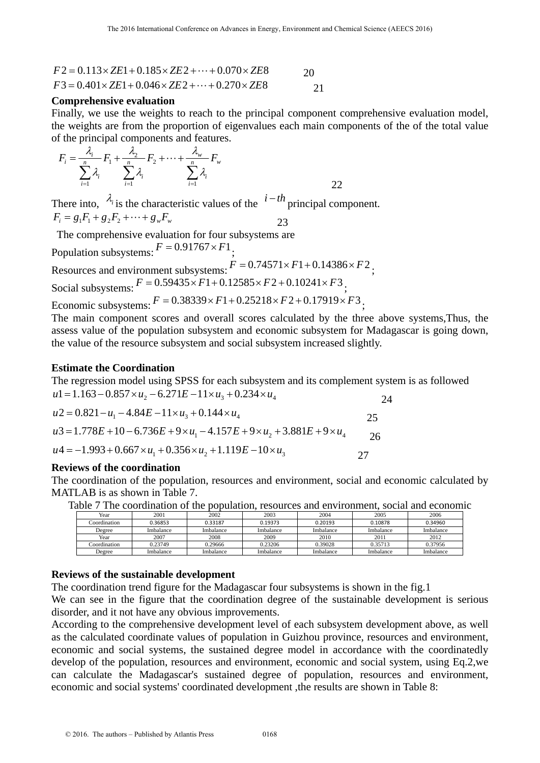$$
F2 = 0.113 \times ZE1 + 0.185 \times ZE2 + \dots + 0.070 \times ZE8
$$
  
\n
$$
F3 = 0.401 \times ZE1 + 0.046 \times ZE2 + \dots + 0.270 \times ZE8
$$
  
\n21

## **Comprehensive evaluation**

Finally, we use the weights to reach to the principal component comprehensive evaluation model, the weights are from the proportion of eigenvalues each main components of the of the total value of the principal components and features.

$$
F_i = \frac{\lambda_i}{\sum_{i=1}^n \lambda_i} F_1 + \frac{\lambda_2}{\sum_{i=1}^n \lambda_i} F_2 + \dots + \frac{\lambda_w}{\sum_{i=1}^n \lambda_i} F_w
$$

There into,  $\lambda_i$  is the characteristic values of the  $i-th$  principal component.  $F_i = g_1 F_1 + g_2 F_2 + \dots + g_w F_w$  23

 The comprehensive evaluation for four subsystems are Population subsystems:  $F = 0.91767 \times F1$ ;

Resources and environment subsystems:  $F = 0.74571 \times F1 + 0.14386 \times F2$ ;

Social subsystems:  $F = 0.59435 \times F1 + 0.12585 \times F2 + 0.10241 \times F3$ ;

Economic subsystems:  $F = 0.38339 \times F1 + 0.25218 \times F2 + 0.17919 \times F3$ ;

The main component scores and overall scores calculated by the three above systems,Thus, the assess value of the population subsystem and economic subsystem for Madagascar is going down, the value of the resource subsystem and social subsystem increased slightly.

## **Estimate the Coordination**

The regression model using SPSS for each subsystem and its complement system is as followed  $u = 1.163 - 0.857 \times u_2 - 6.271E - 11 \times u_3 + 0.234 \times u_4$ 

$$
u2 = 0.821 - u1 - 4.84E - 11 \times u3 + 0.144 \times u4 \t\t 25
$$
  
\n
$$
u3 = 1.778E + 10 - 6.736E + 9 \times u1 - 4.157E + 9 \times u2 + 3.881E + 9 \times u4 \t\t 26
$$
  
\n
$$
u4 = -1.993 + 0.667 \times u1 + 0.356 \times u2 + 1.119E - 10 \times u3 \t\t 27
$$

### **Reviews of the coordination**

The coordination of the population, resources and environment, social and economic calculated by MATLAB is as shown in Table 7.

|      |      |      |      |      |      | Table 7 The coordination of the population, resources and environment, social and economic |  |
|------|------|------|------|------|------|--------------------------------------------------------------------------------------------|--|
| Year | 2001 | 2002 | 2003 | 2004 | 2005 | 2006                                                                                       |  |

| Year         | 2001      | 2002      | 2003      | 2004      | 2005      | 2006      |
|--------------|-----------|-----------|-----------|-----------|-----------|-----------|
| Coordination | 0.36853   | 0.33187   | 0.19373   | 0.20193   | 0.10878   | 0.34960   |
| Degree       | Imbalance | Imbalance | Imbalance | Imbalance | Imbalance | Imbalance |
| Year         | 2007      | 2008      | 2009      | 2010      | 2011      | 2012      |
| Coordination | 0.23749   | 0.29666   | 0.23206   | 0.39028   | 0.35713   | 0.37956   |
| Degree       | Imbalance | Imbalance | Imbalance | Imbalance | Imbalance | Imbalance |

## **Reviews of the sustainable development**

The coordination trend figure for the Madagascar four subsystems is shown in the fig.1

We can see in the figure that the coordination degree of the sustainable development is serious disorder, and it not have any obvious improvements.

According to the comprehensive development level of each subsystem development above, as well as the calculated coordinate values of population in Guizhou province, resources and environment, economic and social systems, the sustained degree model in accordance with the coordinatedly develop of the population, resources and environment, economic and social system, using Eq.2,we can calculate the Madagascar's sustained degree of population, resources and environment, economic and social systems' coordinated development ,the results are shown in Table 8: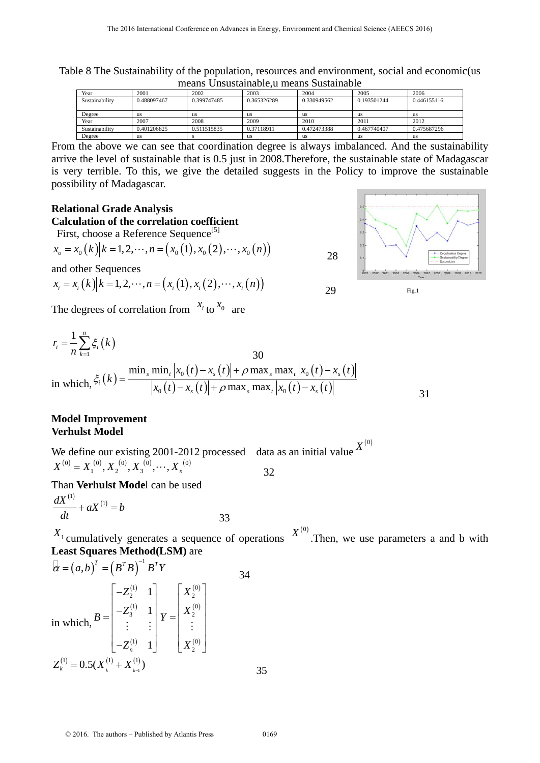means Unsustainable,u means Sustainable<br>
Year 2001 2002 2003 2004 2005<br>
Sustainability 0.488097467 0.399747485 0.365326289 0.330949562 0.193501244 0.446 Sustainability 1 0.488097467 0.365326289 0.330949562 0.193501244 0.446155116 Degree us us us us us us Year 2007 2008 2009 2010 2011 2012 Sustainability 0.401206825 0.511515835 0.37118911 0.472473388 0.467740407 0.475687296 Degree us s s us us us us us us us

Table 8 The Sustainability of the population, resources and environment, social and economic(us

From the above we can see that coordination degree is always imbalanced. And the sustainability arrive the level of sustainable that is 0.5 just in 2008.Therefore, the sustainable state of Madagascar is very terrible. To this, we give the detailed suggests in the Policy to improve the sustainable possibility of Madagascar.

#### **Relational Grade Analysis**

**Calculation of the correlation coefficient** 

First, choose a Reference Sequence<sup>[5]</sup>

$$
x_o = x_0(k) | k = 1, 2, \cdots, n = (x_0(1), x_0(2), \cdots, x_0(n))
$$

and other Sequences

$$
x_i = x_i(k) | k = 1, 2, \cdots, n = (x_i(1), x_i(2), \cdots, x_i(n))
$$



The degrees of correlation from  $x_i$  to  $x_0$  are

$$
r_{i} = \frac{1}{n} \sum_{k=1}^{n} \xi_{i}(k)
$$
  
30  
in which,  $\xi_{i}(k) = \frac{\min_{s} \min_{t} |x_{0}(t) - x_{s}(t)| + \rho \max_{s} \max_{t} |x_{0}(t) - x_{s}(t)|}{|x_{0}(t) - x_{s}(t)| + \rho \max_{s} \max_{t} |x_{0}(t) - x_{s}(t)|}$ 

## **Model Improvement Verhulst Model**

We define our existing 2001-2012 processed data as an initial value  $X^{(0)}$  $X^{(0)} = X_1^{(0)}, X_2^{(0)}, X_3^{(0)}, \cdots, X_n^{(0)}$  32

Than **Verhulst Mode**l can be used

$$
\frac{dX^{(1)}}{dt} + aX^{(1)} = b \tag{33}
$$

 $X_1$  cumulatively generates a sequence of operations  $X^{(0)}$ . Then, we use parameters a and b with **Least Squares Method(LSM)** are

$$
\overline{\alpha} = (a, b)^{T} = (B^{T} B)^{-1} B^{T} Y
$$
  
\n
$$
\text{in which, } B = \begin{bmatrix} -Z_{2}^{(1)} & 1 \\ -Z_{3}^{(1)} & 1 \\ \vdots & \vdots \\ -Z_{n}^{(1)} & 1 \end{bmatrix} Y = \begin{bmatrix} X_{2}^{(0)} \\ X_{2}^{(0)} \\ \vdots \\ X_{2}^{(0)} \end{bmatrix}
$$
  
\n
$$
Z_{k}^{(1)} = 0.5(X_{k}^{(1)} + X_{k-1}^{(1)})
$$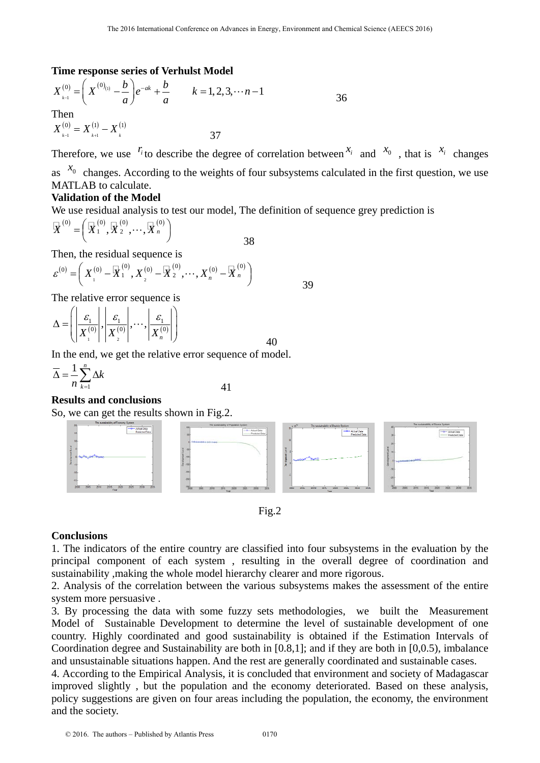## **Time response series of Verhulst Model**

$$
X_{\scriptscriptstyle k=1}^{(0)} = \left(X^{(0)}_{\scriptscriptstyle (1)} - \frac{b}{a}\right)e^{-ak} + \frac{b}{a} \qquad k = 1, 2, 3, \cdots n-1
$$
  
Then  

$$
X_{\scriptscriptstyle k=1}^{(0)} = X_{\scriptscriptstyle k+1}^{(1)} - X_{\scriptscriptstyle k}^{(1)}
$$
 37

Therefore, we use  $^{r_i}$  to describe the degree of correlation between  $^{x_i}$  and  $^{x_0}$ , that is  $^{x_i}$  changes as  $x_0$  changes. According to the weights of four subsystems calculated in the first question, we use MATLAB to calculate.

# **Validation of the Model**

We use residual analysis to test our model, The definition of sequence grey prediction is

38

$$
\overline{X}^{(0)} = (\overline{X}^{(0)}_1, \overline{X}^{(0)}_2, \cdots, \overline{X}^{(0)}_n)
$$

Then, the residual sequence is

$$
\varepsilon^{(0)} = \left( X_1^{(0)} - \overline{X}_1^{(0)}, X_2^{(0)} - \overline{X}_2^{(0)}, \cdots, X_n^{(0)} - \overline{X}_n^{(0)} \right)
$$

The relative error sequence is

$$
\Delta = \left( \left| \frac{\varepsilon_1}{X_1^{(0)}} \right|, \left| \frac{\varepsilon_1}{X_2^{(0)}} \right|, \cdots, \left| \frac{\varepsilon_1}{X_n^{(0)}} \right| \right)
$$

In the end, we get the relative error sequence of model.

$$
\overline{\Delta} = \frac{1}{n} \sum_{k=1}^{n} \Delta k \tag{41}
$$

## **Results and conclusions**

So, we can get the results shown in Fig.2.



Fig.2

### **Conclusions**

1. The indicators of the entire country are classified into four subsystems in the evaluation by the principal component of each system , resulting in the overall degree of coordination and sustainability ,making the whole model hierarchy clearer and more rigorous.

2. Analysis of the correlation between the various subsystems makes the assessment of the entire system more persuasive .

3. By processing the data with some fuzzy sets methodologies, we built the Measurement Model of Sustainable Development to determine the level of sustainable development of one country. Highly coordinated and good sustainability is obtained if the Estimation Intervals of Coordination degree and Sustainability are both in [0.8,1]; and if they are both in [0,0.5), imbalance and unsustainable situations happen. And the rest are generally coordinated and sustainable cases.

4. According to the Empirical Analysis, it is concluded that environment and society of Madagascar improved slightly , but the population and the economy deteriorated. Based on these analysis, policy suggestions are given on four areas including the population, the economy, the environment and the society.